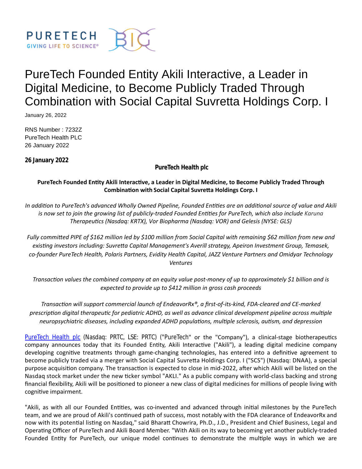

# PureTech Founded Entity Akili Interactive, a Leader in Digital Medicine, to Become Publicly Traded Through Combination with Social Capital Suvretta Holdings Corp. I

January 26, 2022

RNS Number : 7232Z PureTech Health PLC 26 January 2022

**26 January 2022**

**PureTech Health plc**

# **PureTech Founded EnƟty Akili InteracƟve, a Leader in Digital Medicine, to Become Publicly Traded Through CombinaƟon with Social Capital SuvreƩa Holdings Corp. I**

*In addition to PureTech's advanced Wholly Owned Pipeline, Founded Entities are an additional source of value and Akili is now set to join the growing list of publicly-traded Founded Entities for PureTech, which also include Karuna TherapeuƟcs (Nasdaq: KRTX), Vor Biopharma (Nasdaq: VOR) and Gelesis (NYSE: GLS)*

*Fully commiƩed PIPE of \$162 million led by \$100 million from Social Capital with remaining \$62 million from new and exisƟng investors including: SuvreƩa Capital Management's Averill strategy, Apeiron Investment Group, Temasek, co-founder PureTech Health, Polaris Partners, Evidity Health Capital, JAZZ Venture Partners and Omidyar Technology Ventures*

*TransacƟon values the combined company at an equity value post-money of up to approximately \$1 billion and is expected to provide up to \$412 million in gross cash proceeds*

*TransacƟon will support commercial launch of EndeavorRx®, a first-of-its-kind, FDA-cleared and CE-marked prescription digital therapeutic for pediatric ADHD, as well as advance clinical development pipeline across multiple neuropsychiatric diseases, including expanded ADHD populaƟons, mulƟple sclerosis, auƟsm, and depression*

[PureTech Health plc](https://puretechhealth.com/) (Nasdaq: PRTC, LSE: PRTC) ("PureTech" or the "Company"), a clinical-stage biotherapeutics company announces today that its Founded Entity, Akili Interactive ("Akili"), a leading digital medicine company developing cognitive treatments through game-changing technologies, has entered into a definitive agreement to become publicly traded via a merger with Social Capital Suvretta Holdings Corp. I ("SCS") (Nasdaq: DNAA), a special purpose acquisition company. The transaction is expected to close in mid-2022, after which Akili will be listed on the Nasdaq stock market under the new ticker symbol "AKLI." As a public company with world-class backing and strong financial flexibility, Akili will be positioned to pioneer a new class of digital medicines for millions of people living with cognitive impairment.

"Akili, as with all our Founded Entities, was co-invented and advanced through initial milestones by the PureTech team, and we are proud of Akili's continued path of success, most notably with the FDA clearance of EndeavorRx and now with its potential listing on Nasdaq," said Bharatt Chowrira, Ph.D., J.D., President and Chief Business, Legal and Operating Officer of PureTech and Akili Board Member. "With Akili on its way to becoming yet another publicly-traded Founded Entity for PureTech, our unique model continues to demonstrate the multiple ways in which we are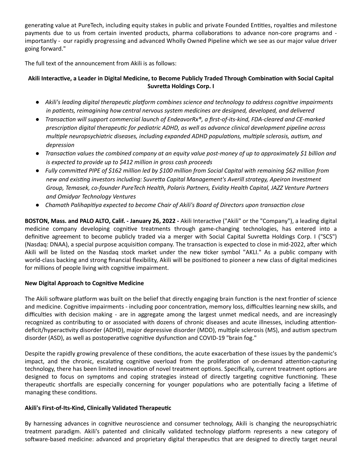generating value at PureTech, including equity stakes in public and private Founded Entities, royalties and milestone payments due to us from certain invented products, pharma collaborations to advance non-core programs and importantly - our rapidly progressing and advanced Wholly Owned Pipeline which we see as our major value driver going forward."

The full text of the announcement from Akili is as follows:

# **Akili InteracƟve, a Leader in Digital Medicine, to Become Publicly Traded Through CombinaƟon with Social Capital Suvretta Holdings Corp. I**

- *Akili's leading digital therapeutic platform combines science and technology to address cognitive impairments in paƟents, reimagining how central nervous system medicines are designed, developed, and delivered*
- *TransacƟon will support commercial launch of EndeavorRx®, a first-of-its-kind, FDA-cleared and CE-marked prescripƟon digital therapeuƟc for pediatric ADHD, as well as advance clinical development pipeline across* multiple neuropsychiatric diseases, including expanded ADHD populations, multiple sclerosis, autism, and *depression*
- *TransacƟon values the combined company at an equity value post-money of up to approximately \$1 billion and is expected to provide up to \$412 million in gross cash proceeds*
- *Fully commiƩed PIPE of \$162 million led by \$100 million from Social Capital with remaining \$62 million from new and exisƟng investors including: SuvreƩa Capital Management's Averill strategy, Apeiron Investment Group, Temasek, co-founder PureTech Health, Polaris Partners, Evidity Health Capital, JAZZ Venture Partners and Omidyar Technology Ventures*
- **Chamath Palihapitiya expected to become Chair of Akili's Board of Directors upon transaction close**

**BOSTON, Mass. and PALO ALTO, Calif. - January 26, 2022 - Akili Interactive ("Akili" or the "Company"), a leading digital** medicine company developing cognitive treatments through game-changing technologies, has entered into a definitive agreement to become publicly traded via a merger with Social Capital Suvretta Holdings Corp. I ("SCS") (Nasdaq: DNAA), a special purpose acquisition company. The transaction is expected to close in mid-2022, after which Akili will be listed on the Nasdaq stock market under the new ticker symbol "AKLI." As a public company with world-class backing and strong financial flexibility, Akili will be positioned to pioneer a new class of digital medicines for millions of people living with cognitive impairment.

## **New Digital Approach to Cognitive Medicine**

The Akili software platform was built on the belief that directly engaging brain function is the next frontier of science and medicine. Cognitive impairments - including poor concentration, memory loss, difficulties learning new skills, and difficulties with decision making - are in aggregate among the largest unmet medical needs, and are increasingly recognized as contributing to or associated with dozens of chronic diseases and acute illnesses, including attentiondeficit/hyperactivity disorder (ADHD), major depressive disorder (MDD), multiple sclerosis (MS), and autism spectrum disorder (ASD), as well as postoperative cognitive dysfunction and COVID-19 "brain fog."

Despite the rapidly growing prevalence of these conditions, the acute exacerbation of these issues by the pandemic's impact, and the chronic, escalating cognitive overload from the proliferation of on-demand attention-capturing technology, there has been limited innovation of novel treatment options. Specifically, current treatment options are designed to focus on symptoms and coping strategies instead of directly targeting cognitive functioning. These therapeutic shortfalls are especially concerning for younger populations who are potentially facing a lifetime of managing these conditions.

## Akili's First-of-Its-Kind, Clinically Validated Therapeutic

By harnessing advances in cognitive neuroscience and consumer technology, Akili is changing the neuropsychiatric treatment paradigm. Akili's patented and clinically validated technology platform represents a new category of software-based medicine: advanced and proprietary digital therapeutics that are designed to directly target neural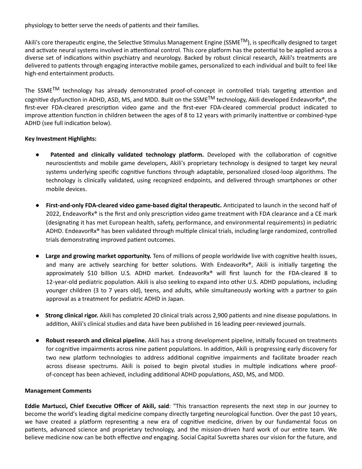physiology to better serve the needs of patients and their families.

Akili's core therapeutic engine, the Selective Stimulus Management Engine (SSME<sup>TM</sup>), is specifically designed to target and activate neural systems involved in attentional control. This core platform has the potential to be applied across a diverse set of indications within psychiatry and neurology. Backed by robust clinical research, Akili's treatments are delivered to patients through engaging interactive mobile games, personalized to each individual and built to feel like high-end entertainment products.

The SSME<sup>TM</sup> technology has already demonstrated proof-of-concept in controlled trials targeting attention and cognitive dysfunction in ADHD, ASD, MS, and MDD. Built on the SSME<sup>TM</sup> technology, Akili developed EndeavorRx<sup>®</sup>, the first-ever FDA-cleared prescription video game and the first-ever FDA-cleared commercial product indicated to improve attention function in children between the ages of 8 to 12 years with primarily inattentive or combined-type ADHD (see full indication below).

# **Key Investment Highlights:**

- **Patented and clinically validated technology platform.** Developed with the collaboration of cognitive neuroscientists and mobile game developers, Akili's proprietary technology is designed to target key neural systems underlying specific cognitive functions through adaptable, personalized closed-loop algorithms. The technology is clinically validated, using recognized endpoints, and delivered through smartphones or other mobile devices.
- **•** First-and-only FDA-cleared video game-based digital therapeutic. Anticipated to launch in the second half of 2022, EndeavorRx® is the first and only prescription video game treatment with FDA clearance and a CE mark (designaƟng it has met European health, safety, performance, and environmental requirements) in pediatric ADHD. EndeavorRx® has been validated through multiple clinical trials, including large randomized, controlled trials demonstrating improved patient outcomes.
- **Large and growing market opportunity.** Tens of millions of people worldwide live with cognitive health issues, and many are actively searching for better solutions. With EndeavorRx®, Akili is initially targeting the approximately \$10 billion U.S. ADHD market. EndeavorRx® will first launch for the FDA-cleared 8 to 12-year-old pediatric population. Akili is also seeking to expand into other U.S. ADHD populations, including younger children (3 to 7 years old), teens, and adults, while simultaneously working with a partner to gain approval as a treatment for pediatric ADHD in Japan.
- **Strong clinical rigor.** Akili has completed 20 clinical trials across 2,900 patients and nine disease populations. In addition, Akili's clinical studies and data have been published in 16 leading peer-reviewed journals.
- **Robust research and clinical pipeline.** Akili has a strong development pipeline, initially focused on treatments for cognitive impairments across nine patient populations. In addition, Akili is progressing early discovery for two new platform technologies to address additional cognitive impairments and facilitate broader reach across disease spectrums. Akili is poised to begin pivotal studies in multiple indications where proofof-concept has been achieved, including additional ADHD populations, ASD, MS, and MDD.

## **Management Comments**

**Eddie Martucci, Chief Executive Officer of Akili, said:** "This transaction represents the next step in our journey to become the world's leading digital medicine company directly targeting neurological function. Over the past 10 years, we have created a platform representing a new era of cognitive medicine, driven by our fundamental focus on patients, advanced science and proprietary technology, and the mission-driven hard work of our entire team. We believe medicine now can be both effective *and* engaging. Social Capital Suvretta shares our vision for the future, and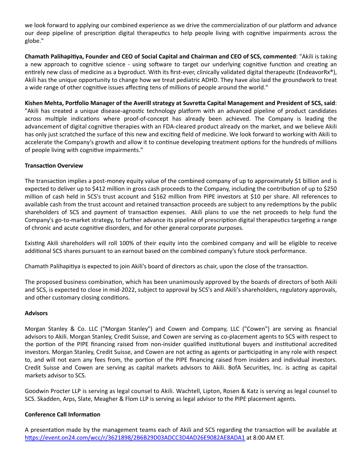we look forward to applying our combined experience as we drive the commercialization of our platform and advance our deep pipeline of prescription digital therapeutics to help people living with cognitive impairments across the globe."

**Chamath PalihapiƟya, Founder and CEO of Social Capital and Chairman and CEO of SCS, commented**: "Akili is taking a new approach to cognitive science - using software to target our underlying cognitive function and creating an entirely new class of medicine as a byproduct. With its first-ever, clinically validated digital therapeutic (EndeavorRx<sup>®</sup>), Akili has the unique opportunity to change how we treat pediatric ADHD. They have also laid the groundwork to treat a wide range of other cognitive issues affecting tens of millions of people around the world."

**Kishen Mehta, Porƞolio Manager of the Averill strategy at SuvreƩa Capital Management and President of SCS, said**: "Akili has created a unique disease-agnostic technology platform with an advanced pipeline of product candidates across multiple indications where proof-of-concept has already been achieved. The Company is leading the advancement of digital cognitive therapies with an FDA-cleared product already on the market, and we believe Akili has only just scratched the surface of this new and exciting field of medicine. We look forward to working with Akili to accelerate the Company's growth and allow it to continue developing treatment options for the hundreds of millions of people living with cognitive impairments."

## **Transaction Overview**

The transaction implies a post-money equity value of the combined company of up to approximately \$1 billion and is expected to deliver up to \$412 million in gross cash proceeds to the Company, including the contribution of up to \$250 million of cash held in SCS's trust account and \$162 million from PIPE investors at \$10 per share. All references to available cash from the trust account and retained transaction proceeds are subject to any redemptions by the public shareholders of SCS and payment of transaction expenses. Akili plans to use the net proceeds to help fund the Company's go-to-market strategy, to further advance its pipeline of prescription digital therapeutics targeting a range of chronic and acute cognitive disorders, and for other general corporate purposes.

Existing Akili shareholders will roll 100% of their equity into the combined company and will be eligible to receive additional SCS shares pursuant to an earnout based on the combined company's future stock performance.

Chamath Palihapitiya is expected to join Akili's board of directors as chair, upon the close of the transaction.

The proposed business combination, which has been unanimously approved by the boards of directors of both Akili and SCS, is expected to close in mid-2022, subject to approval by SCS's and Akili's shareholders, regulatory approvals, and other customary closing conditions.

## **Advisors**

Morgan Stanley & Co. LLC ("Morgan Stanley") and Cowen and Company, LLC ("Cowen") are serving as financial advisors to Akili. Morgan Stanley, Credit Suisse, and Cowen are serving as co-placement agents to SCS with respect to the portion of the PIPE financing raised from non-insider qualified institutional buyers and institutional accredited investors. Morgan Stanley, Credit Suisse, and Cowen are not acting as agents or participating in any role with respect to, and will not earn any fees from, the portion of the PIPE financing raised from insiders and individual investors. Credit Suisse and Cowen are serving as capital markets advisors to Akili. BofA Securities, Inc. is acting as capital markets advisor to SCS.

Goodwin Procter LLP is serving as legal counsel to Akili. Wachtell, Lipton, Rosen & Katz is serving as legal counsel to SCS. Skadden, Arps, Slate, Meagher & Flom LLP is serving as legal advisor to the PIPE placement agents.

## **Conference Call Information**

A presentation made by the management teams each of Akili and SCS regarding the transaction will be available at https://event.on24.com/wcc/r/3621898/2B6B29D03ADCC3D4AD26E9082AE8ADA1 at 8:00 AM ET.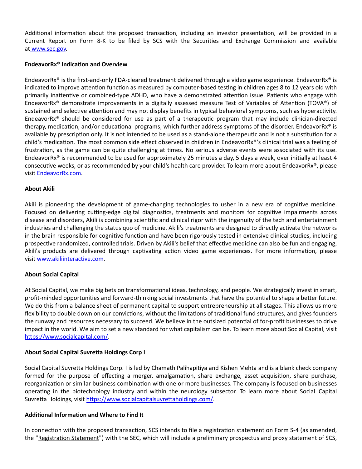Additional information about the proposed transaction, including an investor presentation, will be provided in a Current Report on Form 8-K to be filed by SCS with the Securities and Exchange Commission and available at [www.sec.gov.](http://www.sec.gov/)

#### **EndeavorRx® IndicaƟon and Overview**

EndeavorRx® is the first-and-only FDA-cleared treatment delivered through a video game experience. EndeavorRx® is indicated to improve attention function as measured by computer-based testing in children ages 8 to 12 years old with primarily inattentive or combined-type ADHD, who have a demonstrated attention issue. Patients who engage with EndeavorRx<sup>®</sup> demonstrate improvements in a digitally assessed measure Test of Variables of Attention (TOVA®) of sustained and selective attention and may not display benefits in typical behavioral symptoms, such as hyperactivity. EndeavorRx<sup>®</sup> should be considered for use as part of a therapeutic program that may include clinician-directed therapy, medication, and/or educational programs, which further address symptoms of the disorder. EndeavorRx® is available by prescription only. It is not intended to be used as a stand-alone therapeutic and is not a substitution for a child's medication. The most common side effect observed in children in EndeavorRx®'s clinical trial was a feeling of frustration, as the game can be quite challenging at times. No serious adverse events were associated with its use. EndeavorRx® is recommended to be used for approximately 25 minutes a day, 5 days a week, over initially at least 4 consecutive weeks, or as recommended by your child's health care provider. To learn more about EndeavorRx®, please visi[t EndeavorRx.com.](https://www.endeavorrx.com/)

## **About Akili**

Akili is pioneering the development of game-changing technologies to usher in a new era of cognitive medicine. Focused on delivering cutting-edge digital diagnostics, treatments and monitors for cognitive impairments across disease and disorders, Akili is combining scientific and clinical rigor with the ingenuity of the tech and entertainment industries and challenging the status quo of medicine. Akili's treatments are designed to directly activate the networks in the brain responsible for cognitive function and have been rigorously tested in extensive clinical studies, including prospective randomized, controlled trials. Driven by Akili's belief that effective medicine can also be fun and engaging, Akili's products are delivered through captivating action video game experiences. For more information, please visit www.akiliinteractive.com.

## **About Social Capital**

At Social Capital, we make big bets on transformational ideas, technology, and people. We strategically invest in smart, profit-minded opportunities and forward-thinking social investments that have the potential to shape a better future. We do this from a balance sheet of permanent capital to support entrepreneurship at all stages. This allows us more flexibility to double down on our convictions, without the limitations of traditional fund structures, and gives founders the runway and resources necessary to succeed. We believe in the outsized potential of for-profit businesses to drive impact in the world. We aim to set a new standard for what capitalism can be. To learn more about Social Capital, visit https://www.socialcapital.com/

## **About Social Capital SuvreƩa Holdings Corp I**

Social Capital Suvretta Holdings Corp. I is led by Chamath Palihapitiya and Kishen Mehta and is a blank check company formed for the purpose of effecting a merger, amalgamation, share exchange, asset acquisition, share purchase, reorganization or similar business combination with one or more businesses. The company is focused on businesses operaƟng in the biotechnology industry and within the neurology subsector. To learn more about Social Capital Suvretta Holdings, visit https://www.socialcapitalsuvrettaholdings.com/.

#### **AddiƟonal InformaƟon and Where to Find It**

In connection with the proposed transaction, SCS intends to file a registration statement on Form S-4 (as amended, the "Registration Statement") with the SEC, which will include a preliminary prospectus and proxy statement of SCS,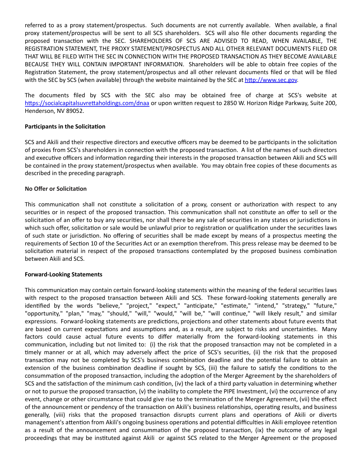referred to as a proxy statement/prospectus. Such documents are not currently available. When available, a final proxy statement/prospectus will be sent to all SCS shareholders. SCS will also file other documents regarding the proposed transaction with the SEC. SHAREHOLDERS OF SCS ARE ADVISED TO READ, WHEN AVAILABLE, THE REGISTRATION STATEMENT, THE PROXY STATEMENT/PROSPECTUS AND ALL OTHER RELEVANT DOCUMENTS FILED OR THAT WILL BE FILED WITH THE SEC IN CONNECTION WITH THE PROPOSED TRANSACTION AS THEY BECOME AVAILABLE BECAUSE THEY WILL CONTAIN IMPORTANT INFORMATION. Shareholders will be able to obtain free copies of the Registration Statement, the proxy statement/prospectus and all other relevant documents filed or that will be filed with the SEC by SCS (when available) through the website maintained by the SEC at http://www.sec.gov.

The documents filed by SCS with the SEC also may be obtained free of charge at SCS's website at https://socialcapitalsuvrettaholdings.com/dnaa or upon written request to 2850 W. Horizon Ridge Parkway, Suite 200, Henderson, NV 89052.

## **Participants in the Solicitation**

SCS and Akili and their respective directors and executive officers may be deemed to be participants in the solicitation of proxies from SCS's shareholders in connection with the proposed transaction. A list of the names of such directors and executive officers and information regarding their interests in the proposed transaction between Akili and SCS will be contained in the proxy statement/prospectus when available. You may obtain free copies of these documents as described in the preceding paragraph.

# **No Offer or Solicitation**

This communication shall not constitute a solicitation of a proxy, consent or authorization with respect to any securities or in respect of the proposed transaction. This communication shall not constitute an offer to sell or the solicitation of an offer to buy any securities, nor shall there be any sale of securities in any states or jurisdictions in which such offer, solicitation or sale would be unlawful prior to registration or qualification under the securities laws of such state or jurisdiction. No offering of securities shall be made except by means of a prospectus meeting the requirements of Section 10 of the Securities Act or an exemption therefrom. This press release may be deemed to be solicitation material in respect of the proposed transactions contemplated by the proposed business combination between Akili and SCS.

## **Forward-Looking Statements**

This communication may contain certain forward-looking statements within the meaning of the federal securities laws with respect to the proposed transaction between Akili and SCS. These forward-looking statements generally are identified by the words "believe," "project," "expect," "anticipate," "estimate," "intend," "strategy," "future," "opportunity," "plan," "may," "should," "will," "would," "will be," "will continue," "will likely result," and similar expressions. Forward-looking statements are predictions, projections and other statements about future events that are based on current expectations and assumptions and, as a result, are subject to risks and uncertainties. Many factors could cause actual future events to differ materially from the forward-looking statements in this communication, including but not limited to: (i) the risk that the proposed transaction may not be completed in a timely manner or at all, which may adversely affect the price of SCS's securities, (ii) the risk that the proposed transaction may not be completed by SCS's business combination deadline and the potential failure to obtain an extension of the business combination deadline if sought by SCS, (iii) the failure to satisfy the conditions to the consummation of the proposed transaction, including the adoption of the Merger Agreement by the shareholders of SCS and the satisfaction of the minimum cash condition, (iv) the lack of a third party valuation in determining whether or not to pursue the proposed transaction,  $(v)$  the inability to complete the PIPE Investment,  $(vi)$  the occurrence of any event, change or other circumstance that could give rise to the termination of the Merger Agreement, (vii) the effect of the announcement or pendency of the transaction on Akili's business relationships, operating results, and business generally, (viii) risks that the proposed transaction disrupts current plans and operations of Akili or diverts management's attention from Akili's ongoing business operations and potential difficulties in Akili employee retention as a result of the announcement and consummation of the proposed transaction, (ix) the outcome of any legal proceedings that may be instituted against Akili or against SCS related to the Merger Agreement or the proposed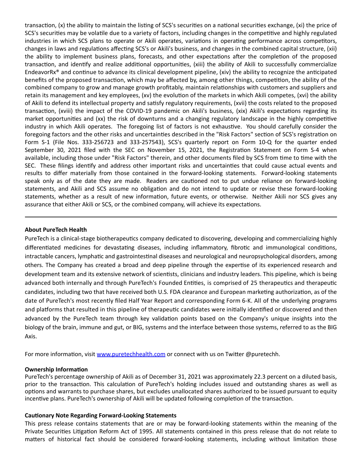transaction, (x) the ability to maintain the listing of SCS's securities on a national securities exchange, (xi) the price of SCS's securities may be volatile due to a variety of factors, including changes in the competitive and highly regulated industries in which SCS plans to operate or Akili operates, variations in operating performance across competitors, changes in laws and regulations affecting SCS's or Akili's business, and changes in the combined capital structure, (xii) the ability to implement business plans, forecasts, and other expectations after the completion of the proposed transaction, and identify and realize additional opportunities, (xiii) the ability of Akili to successfully commercialize EndeavorRx<sup>®</sup> and continue to advance its clinical development pipeline, (xiv) the ability to recognize the anticipated benefits of the proposed transaction, which may be affected by, among other things, competition, the ability of the combined company to grow and manage growth profitably, maintain relationships with customers and suppliers and retain its management and key employees, (xv) the evolution of the markets in which Akili competes, (xvi) the ability of Akili to defend its intellectual property and satisfy regulatory requirements, (xvii) the costs related to the proposed transaction, (xviii) the impact of the COVID-19 pandemic on Akili's business, (xix) Akili's expectations regarding its market opportunities and (xx) the risk of downturns and a changing regulatory landscape in the highly competitive industry in which Akili operates. The foregoing list of factors is not exhaustive. You should carefully consider the foregoing factors and the other risks and uncertainties described in the "Risk Factors" section of SCS's registration on Form S-1 (File Nos. 333-256723 and 333-257543), SCS's quarterly report on Form 10-Q for the quarter ended September 30, 2021 filed with the SEC on November 15, 2021, the Registration Statement on Form S-4 when available, including those under "Risk Factors" therein, and other documents filed by SCS from time to time with the SEC. These filings identify and address other important risks and uncertainties that could cause actual events and results to differ materially from those contained in the forward-looking statements. Forward-looking statements speak only as of the date they are made. Readers are cautioned not to put undue reliance on forward-looking statements, and Akili and SCS assume no obligation and do not intend to update or revise these forward-looking statements, whether as a result of new information, future events, or otherwise. Neither Akili nor SCS gives any assurance that either Akili or SCS, or the combined company, will achieve its expectations.

#### **About PureTech Health**

PureTech is a clinical-stage biotherapeutics company dedicated to discovering, developing and commercializing highly differentiated medicines for devastating diseases, including inflammatory, fibrotic and immunological conditions, intractable cancers, lymphatic and gastrointestinal diseases and neurological and neuropsychological disorders, among others. The Company has created a broad and deep pipeline through the expertise of its experienced research and development team and its extensive network of scientists, clinicians and industry leaders. This pipeline, which is being advanced both internally and through PureTech's Founded Entities, is comprised of 25 therapeutics and therapeutic candidates, including two that have received both U.S. FDA clearance and European marketing authorization, as of the date of PureTech's most recently filed Half Year Report and corresponding Form 6-K. All of the underlying programs and platforms that resulted in this pipeline of therapeutic candidates were initially identified or discovered and then advanced by the PureTech team through key validation points based on the Company's unique insights into the biology of the brain, immune and gut, or BIG, systems and the interface between those systems, referred to as the BIG Axis.

For more information, visit [www.puretechhealth.com o](http://www.puretechhealth.com/)r connect with us on Twitter @puretechh.

#### **Ownership Information**

PureTech's percentage ownership of Akili as of December 31, 2021 was approximately 22.3 percent on a diluted basis, prior to the transaction. This calculation of PureTech's holding includes issued and outstanding shares as well as options and warrants to purchase shares, but excludes unallocated shares authorized to be issued pursuant to equity incentive plans. PureTech's ownership of Akili will be updated following completion of the transaction.

#### **CauƟonary Note Regarding Forward-Looking Statements**

This press release contains statements that are or may be forward-looking statements within the meaning of the Private Securities Litigation Reform Act of 1995. All statements contained in this press release that do not relate to matters of historical fact should be considered forward-looking statements, including without limitation those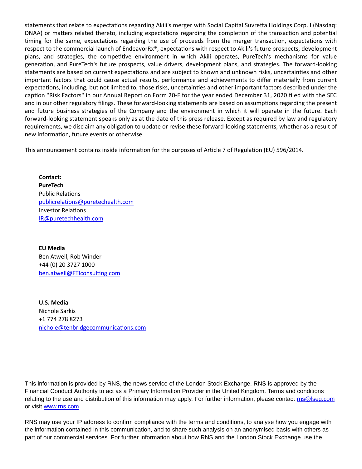statements that relate to expectations regarding Akili's merger with Social Capital Suvretta Holdings Corp. I (Nasdaq: DNAA) or matters related thereto, including expectations regarding the completion of the transaction and potential timing for the same, expectations regarding the use of proceeds from the merger transaction, expectations with respect to the commercial launch of EndeavorRx®, expectations with respect to Akili's future prospects, development plans, and strategies, the competitive environment in which Akili operates, PureTech's mechanisms for value generation, and PureTech's future prospects, value drivers, development plans, and strategies. The forward-looking statements are based on current expectations and are subject to known and unknown risks, uncertainties and other important factors that could cause actual results, performance and achievements to differ materially from current expectations, including, but not limited to, those risks, uncertainties and other important factors described under the caption "Risk Factors" in our Annual Report on Form 20-F for the year ended December 31, 2020 filed with the SEC and in our other regulatory filings. These forward-looking statements are based on assumptions regarding the present and future business strategies of the Company and the environment in which it will operate in the future. Each forward-looking statement speaks only as at the date of this press release. Except as required by law and regulatory requirements, we disclaim any obligation to update or revise these forward-looking statements, whether as a result of new information, future events or otherwise.

This announcement contains inside information for the purposes of Article 7 of Regulation (EU) 596/2014.

**Contact: PureTech** Public Relations publicrelations@puretechealth.com Investor Relations [IR@puretechhealth.com](mailto:IR@puretechhealth.com)

**EU Media** Ben Atwell, Rob Winder +44 (0) 20 3727 1000 ben.atwell@FTIconsulting.com

**U.S. Media** Nichole Sarkis +1 774 278 8273 nichole@tenbridgecommunications.com

This information is provided by RNS, the news service of the London Stock Exchange. RNS is approved by the Financial Conduct Authority to act as a Primary Information Provider in the United Kingdom. Terms and conditions relating to the use and distribution of this information may apply. For further information, please contact [rns@lseg.com](mailto:rns@lseg.com) or visit [www.rns.com.](http://www.rns.com/)

RNS may use your IP address to confirm compliance with the terms and conditions, to analyse how you engage with the information contained in this communication, and to share such analysis on an anonymised basis with others as part of our commercial services. For further information about how RNS and the London Stock Exchange use the